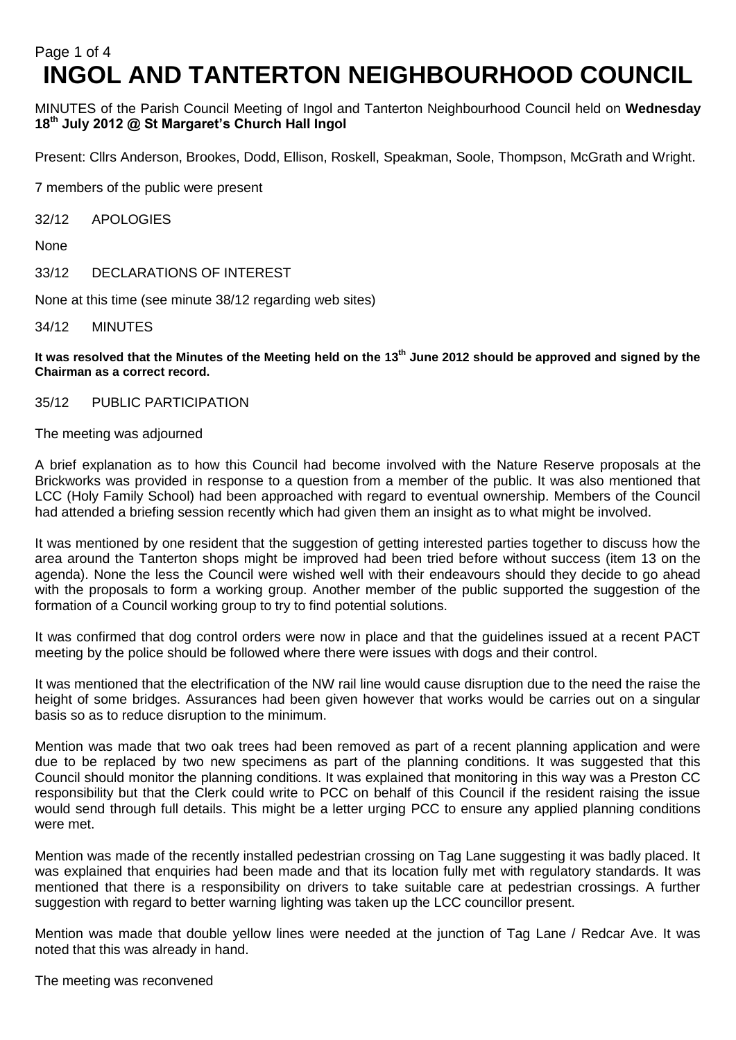# Page 1 of 4 **INGOL AND TANTERTON NEIGHBOURHOOD COUNCIL**

MINUTES of the Parish Council Meeting of Ingol and Tanterton Neighbourhood Council held on **Wednesday 18 th July 2012 @ St Margaret's Church Hall Ingol** 

Present: Cllrs Anderson, Brookes, Dodd, Ellison, Roskell, Speakman, Soole, Thompson, McGrath and Wright.

7 members of the public were present

32/12 APOLOGIES

None

33/12 DECLARATIONS OF INTEREST

None at this time (see minute 38/12 regarding web sites)

34/12 MINUTES

**It was resolved that the Minutes of the Meeting held on the 13th June 2012 should be approved and signed by the Chairman as a correct record.**

35/12 PUBLIC PARTICIPATION

The meeting was adjourned

A brief explanation as to how this Council had become involved with the Nature Reserve proposals at the Brickworks was provided in response to a question from a member of the public. It was also mentioned that LCC (Holy Family School) had been approached with regard to eventual ownership. Members of the Council had attended a briefing session recently which had given them an insight as to what might be involved.

It was mentioned by one resident that the suggestion of getting interested parties together to discuss how the area around the Tanterton shops might be improved had been tried before without success (item 13 on the agenda). None the less the Council were wished well with their endeavours should they decide to go ahead with the proposals to form a working group. Another member of the public supported the suggestion of the formation of a Council working group to try to find potential solutions.

It was confirmed that dog control orders were now in place and that the guidelines issued at a recent PACT meeting by the police should be followed where there were issues with dogs and their control.

It was mentioned that the electrification of the NW rail line would cause disruption due to the need the raise the height of some bridges. Assurances had been given however that works would be carries out on a singular basis so as to reduce disruption to the minimum.

Mention was made that two oak trees had been removed as part of a recent planning application and were due to be replaced by two new specimens as part of the planning conditions. It was suggested that this Council should monitor the planning conditions. It was explained that monitoring in this way was a Preston CC responsibility but that the Clerk could write to PCC on behalf of this Council if the resident raising the issue would send through full details. This might be a letter urging PCC to ensure any applied planning conditions were met.

Mention was made of the recently installed pedestrian crossing on Tag Lane suggesting it was badly placed. It was explained that enquiries had been made and that its location fully met with regulatory standards. It was mentioned that there is a responsibility on drivers to take suitable care at pedestrian crossings. A further suggestion with regard to better warning lighting was taken up the LCC councillor present.

Mention was made that double yellow lines were needed at the junction of Tag Lane / Redcar Ave. It was noted that this was already in hand.

The meeting was reconvened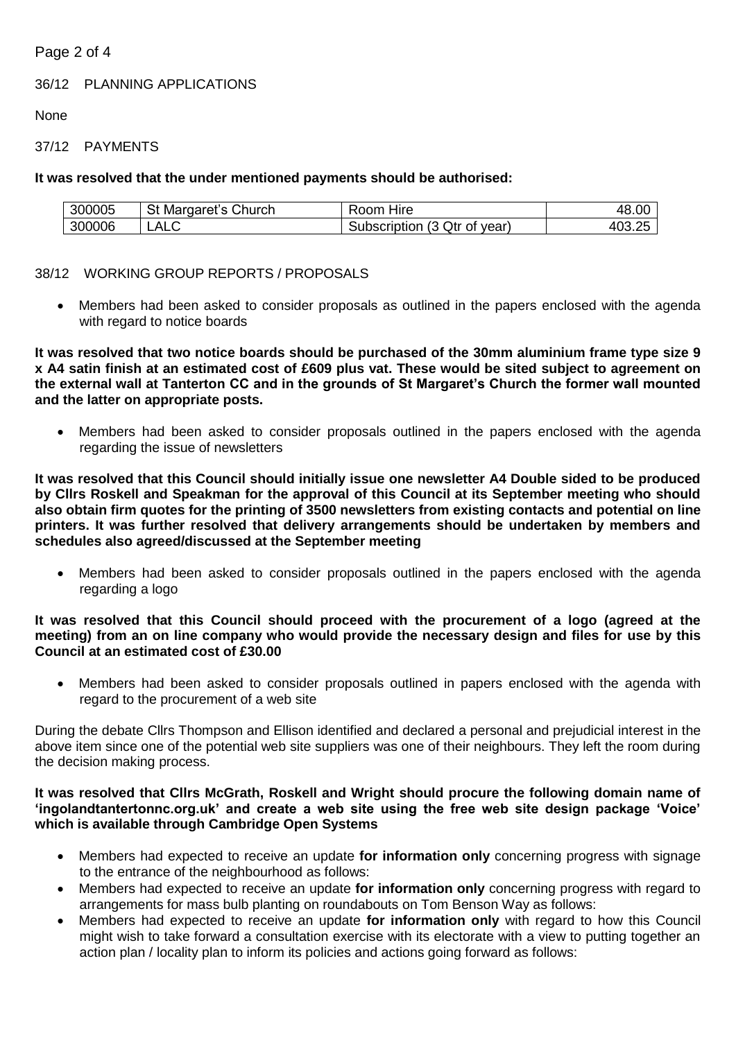# Page 2 of 4

36/12 PLANNING APPLICATIONS

None

# 37/12 PAYMENTS

# **It was resolved that the under mentioned payments should be authorised:**

| 300005 | Church<br>Margaret<br>ິດ | ط⊔ا⊟<br>oom?<br>пію                             | 48.00                               |
|--------|--------------------------|-------------------------------------------------|-------------------------------------|
| 300006 | ▵<br>¬∟∪<br>-            | Qtr<br>$\sim$<br>Subscription<br>of year)<br>ັບ | ^^<br>$\sim$ $\sim$<br>41<br>ruu.zu |

# 38/12 WORKING GROUP REPORTS / PROPOSALS

 Members had been asked to consider proposals as outlined in the papers enclosed with the agenda with regard to notice boards

**It was resolved that two notice boards should be purchased of the 30mm aluminium frame type size 9 x A4 satin finish at an estimated cost of £609 plus vat. These would be sited subject to agreement on the external wall at Tanterton CC and in the grounds of St Margaret's Church the former wall mounted and the latter on appropriate posts.**

 Members had been asked to consider proposals outlined in the papers enclosed with the agenda regarding the issue of newsletters

**It was resolved that this Council should initially issue one newsletter A4 Double sided to be produced by Cllrs Roskell and Speakman for the approval of this Council at its September meeting who should also obtain firm quotes for the printing of 3500 newsletters from existing contacts and potential on line printers. It was further resolved that delivery arrangements should be undertaken by members and schedules also agreed/discussed at the September meeting**

 Members had been asked to consider proposals outlined in the papers enclosed with the agenda regarding a logo

## **It was resolved that this Council should proceed with the procurement of a logo (agreed at the meeting) from an on line company who would provide the necessary design and files for use by this Council at an estimated cost of £30.00**

 Members had been asked to consider proposals outlined in papers enclosed with the agenda with regard to the procurement of a web site

During the debate Cllrs Thompson and Ellison identified and declared a personal and prejudicial interest in the above item since one of the potential web site suppliers was one of their neighbours. They left the room during the decision making process.

## **It was resolved that Cllrs McGrath, Roskell and Wright should procure the following domain name of 'ingolandtantertonnc.org.uk' and create a web site using the free web site design package 'Voice' which is available through Cambridge Open Systems**

- Members had expected to receive an update **for information only** concerning progress with signage to the entrance of the neighbourhood as follows:
- Members had expected to receive an update **for information only** concerning progress with regard to arrangements for mass bulb planting on roundabouts on Tom Benson Way as follows:
- Members had expected to receive an update **for information only** with regard to how this Council might wish to take forward a consultation exercise with its electorate with a view to putting together an action plan / locality plan to inform its policies and actions going forward as follows: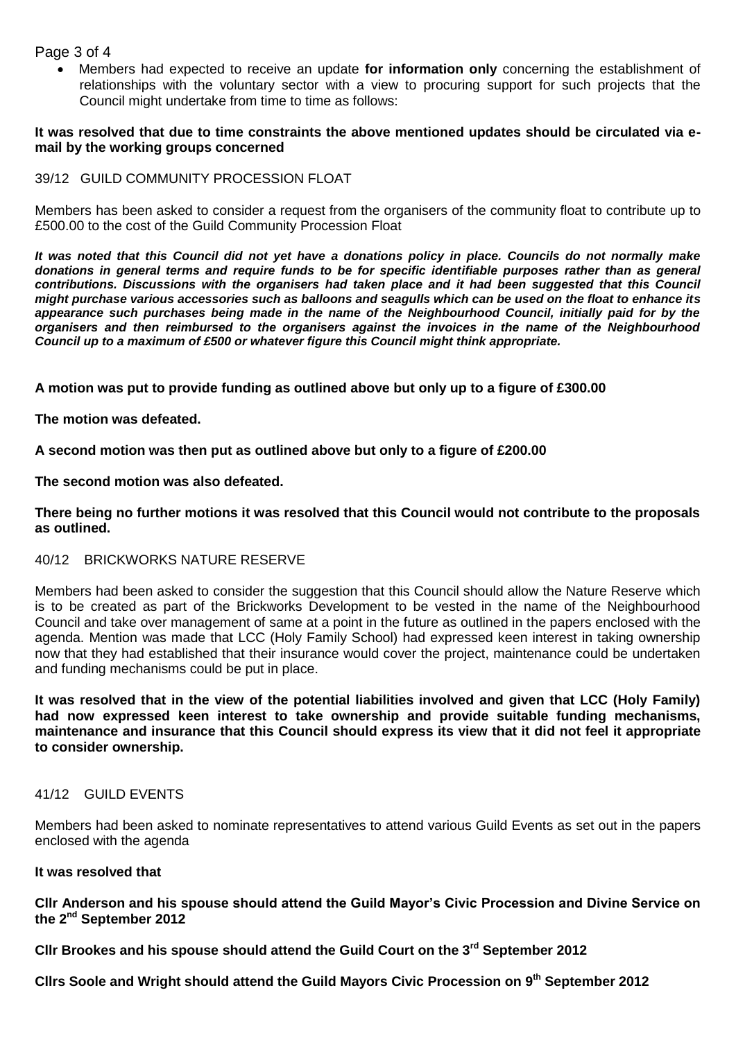Page 3 of 4

 Members had expected to receive an update **for information only** concerning the establishment of relationships with the voluntary sector with a view to procuring support for such projects that the Council might undertake from time to time as follows:

#### **It was resolved that due to time constraints the above mentioned updates should be circulated via email by the working groups concerned**

### 39/12 GUILD COMMUNITY PROCESSION FLOAT

Members has been asked to consider a request from the organisers of the community float to contribute up to £500.00 to the cost of the Guild Community Procession Float

*It was noted that this Council did not yet have a donations policy in place. Councils do not normally make donations in general terms and require funds to be for specific identifiable purposes rather than as general contributions. Discussions with the organisers had taken place and it had been suggested that this Council might purchase various accessories such as balloons and seagulls which can be used on the float to enhance its appearance such purchases being made in the name of the Neighbourhood Council, initially paid for by the organisers and then reimbursed to the organisers against the invoices in the name of the Neighbourhood Council up to a maximum of £500 or whatever figure this Council might think appropriate.*

**A motion was put to provide funding as outlined above but only up to a figure of £300.00**

**The motion was defeated.**

**A second motion was then put as outlined above but only to a figure of £200.00**

**The second motion was also defeated.**

**There being no further motions it was resolved that this Council would not contribute to the proposals as outlined.**

## 40/12 BRICKWORKS NATURE RESERVE

Members had been asked to consider the suggestion that this Council should allow the Nature Reserve which is to be created as part of the Brickworks Development to be vested in the name of the Neighbourhood Council and take over management of same at a point in the future as outlined in the papers enclosed with the agenda. Mention was made that LCC (Holy Family School) had expressed keen interest in taking ownership now that they had established that their insurance would cover the project, maintenance could be undertaken and funding mechanisms could be put in place.

**It was resolved that in the view of the potential liabilities involved and given that LCC (Holy Family) had now expressed keen interest to take ownership and provide suitable funding mechanisms, maintenance and insurance that this Council should express its view that it did not feel it appropriate to consider ownership.**

#### 41/12 GUILD EVENTS

Members had been asked to nominate representatives to attend various Guild Events as set out in the papers enclosed with the agenda

## **It was resolved that**

**Cllr Anderson and his spouse should attend the Guild Mayor's Civic Procession and Divine Service on the 2nd September 2012**

**Cllr Brookes and his spouse should attend the Guild Court on the 3rd September 2012**

**Cllrs Soole and Wright should attend the Guild Mayors Civic Procession on 9 th September 2012**